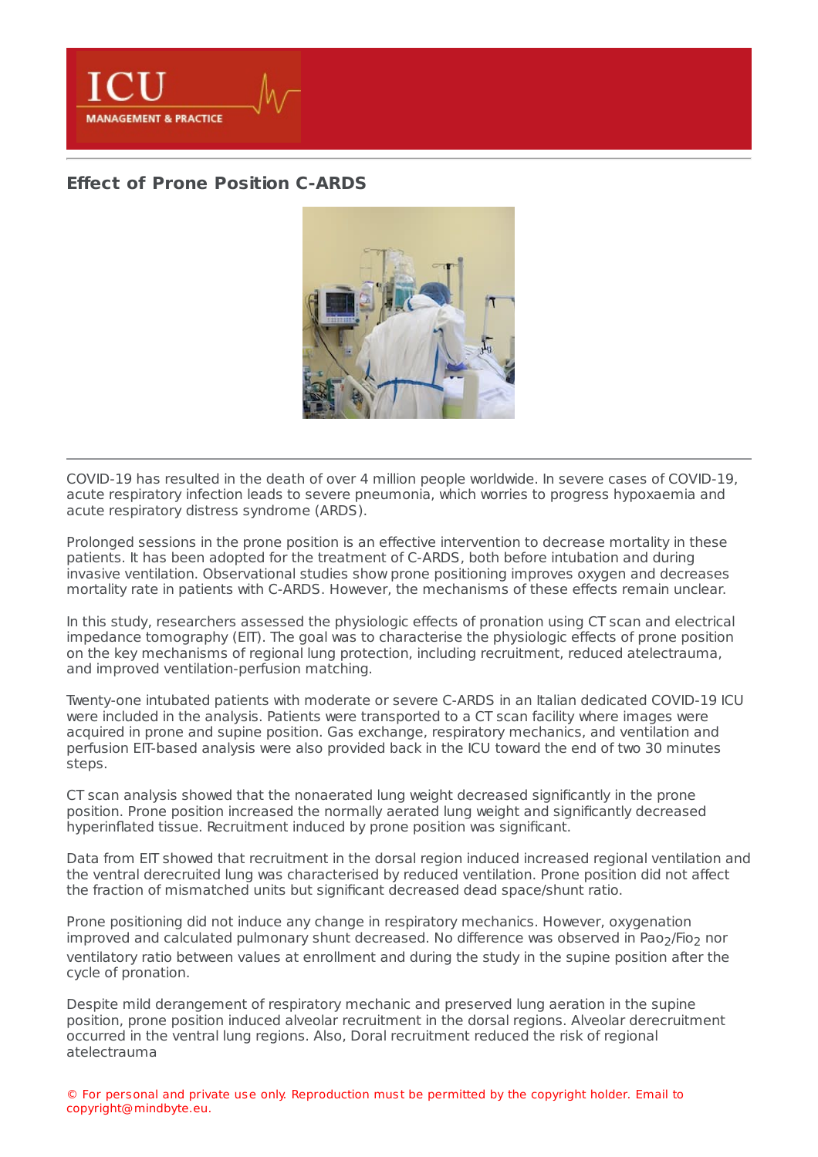

## **Effect of Prone [Position](https://healthmanagement.org/s/effect-of-prone-position-c-ards) C-ARDS**



COVID-19 has resulted in the death of over 4 million people worldwide. In severe cases of COVID-19, acute respiratory infection leads to severe pneumonia, which worries to progress hypoxaemia and acute respiratory distress syndrome (ARDS).

Prolonged sessions in the prone position is an effective intervention to decrease mortality in these patients. It has been adopted for the treatment of C-ARDS, both before intubation and during invasive ventilation. Observational studies show prone positioning improves oxygen and decreases mortality rate in patients with C-ARDS. However, the mechanisms of these effects remain unclear.

In this study, researchers assessed the physiologic effects of pronation using CT scan and electrical impedance tomography (EIT). The goal was to characterise the physiologic effects of prone position on the key mechanisms of regional lung protection, including recruitment, reduced atelectrauma, and improved ventilation-perfusion matching.

Twenty-one intubated patients with moderate or severe C-ARDS in an Italian dedicated COVID-19 ICU were included in the analysis. Patients were transported to a CT scan facility where images were acquired in prone and supine position. Gas exchange, respiratory mechanics, and ventilation and perfusion EIT-based analysis were also provided back in the ICU toward the end of two 30 minutes steps.

CT scan analysis showed that the nonaerated lung weight decreased significantly in the prone position. Prone position increased the normally aerated lung weight and significantly decreased hyperinflated tissue. Recruitment induced by prone position was significant.

Data from EIT showed that recruitment in the dorsal region induced increased regional ventilation and the ventral derecruited lung was characterised by reduced ventilation. Prone position did not affect the fraction of mismatched units but significant decreased dead space/shunt ratio.

Prone positioning did not induce any change in respiratory mechanics. However, oxygenation improved and calculated pulmonary shunt decreased. No difference was observed in Pao<sub>2</sub>/Fio<sub>2</sub> nor ventilatory ratio between values at enrollment and during the study in the supine position after the cycle of pronation.

Despite mild derangement of respiratory mechanic and preserved lung aeration in the supine position, prone position induced alveolar recruitment in the dorsal regions. Alveolar derecruitment occurred in the ventral lung regions. Also, Doral recruitment reduced the risk of regional atelectrauma

© For personal and private use only. Reproduction must be permitted by the copyright holder. Email to copyright@mindbyte.eu.